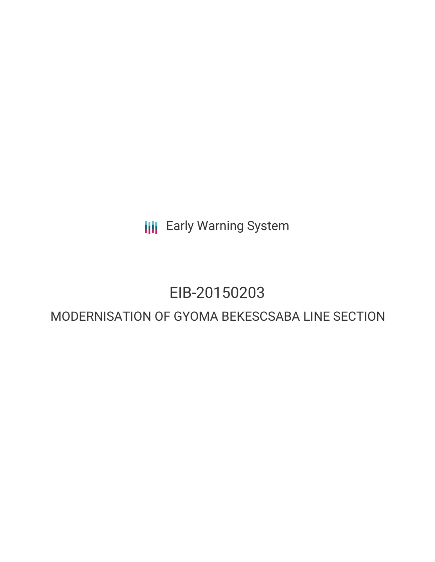**III** Early Warning System

# EIB-20150203

# MODERNISATION OF GYOMA BEKESCSABA LINE SECTION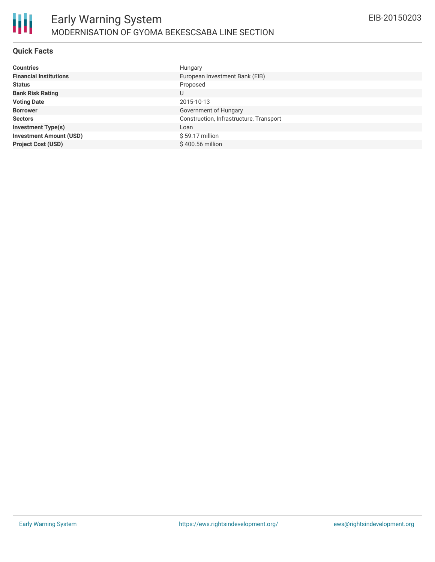

#### **Quick Facts**

| <b>Countries</b>               | Hungary                                 |
|--------------------------------|-----------------------------------------|
| <b>Financial Institutions</b>  | European Investment Bank (EIB)          |
| <b>Status</b>                  | Proposed                                |
| <b>Bank Risk Rating</b>        | U                                       |
| <b>Voting Date</b>             | 2015-10-13                              |
| <b>Borrower</b>                | Government of Hungary                   |
| <b>Sectors</b>                 | Construction, Infrastructure, Transport |
| <b>Investment Type(s)</b>      | Loan                                    |
| <b>Investment Amount (USD)</b> | $$59.17$ million                        |
| <b>Project Cost (USD)</b>      | \$400.56 million                        |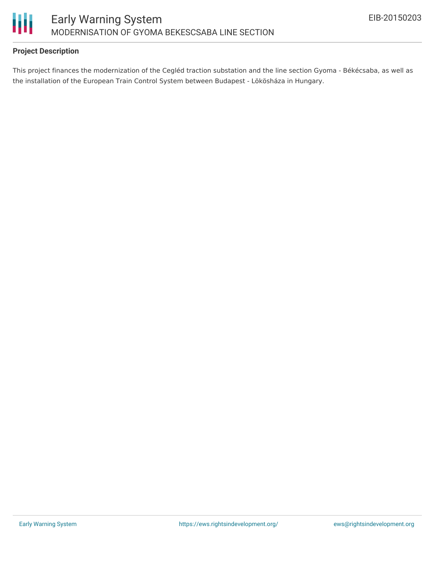

## **Project Description**

This project finances the modernization of the Cegléd traction substation and the line section Gyoma - Békécsaba, as well as the installation of the European Train Control System between Budapest - Lökösháza in Hungary.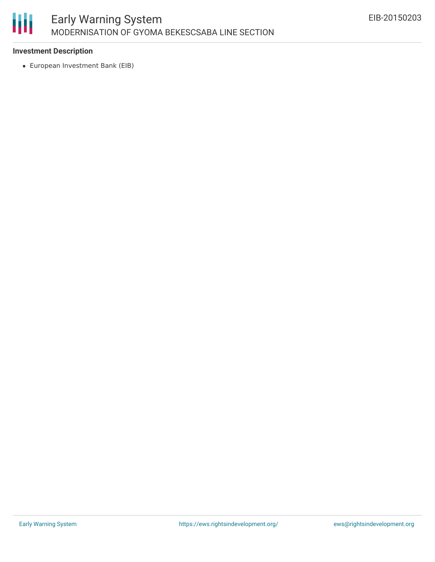

### **Investment Description**

European Investment Bank (EIB)